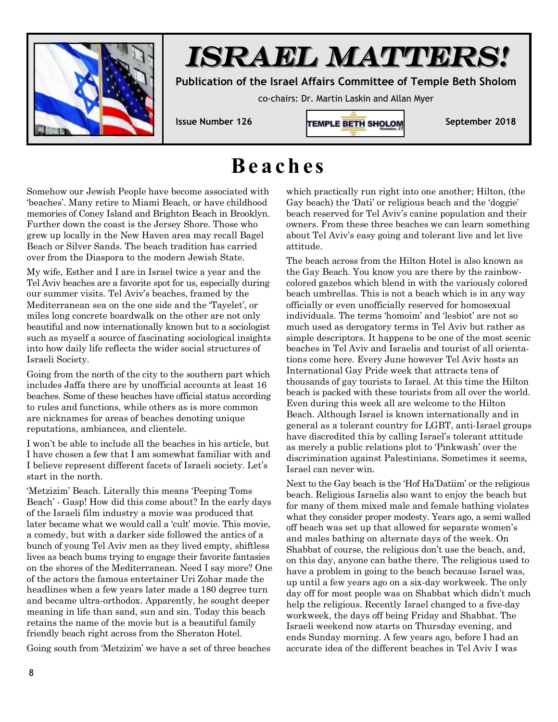

## *ISRAEL MATTERS!*

**Publication of the Israel Affairs Committee of Temple Beth Sholom** 

co-chairs: Dr. Martin Laskin and Allan Myer



## **Be a ch e s**

Somehow our Jewish People have become associated with 'beaches'. Many retire to Miami Beach, or have childhood memories of Coney Island and Brighton Beach in Brooklyn. Further down the coast is the Jersey Shore. Those who grew up locally in the New Haven area may recall Bagel Beach or Silver Sands. The beach tradition has carried over from the Diaspora to the modern Jewish State.

My wife, Esther and I are in Israel twice a year and the Tel Aviv beaches are a favorite spot for us, especially during our summer visits. Tel Aviv's beaches, framed by the Mediterranean sea on the one side and the 'Tayelet', or miles long concrete boardwalk on the other are not only beautiful and now internationally known but to a sociologist such as myself a source of fascinating sociological insights into how daily life reflects the wider social structures of Israeli Society.

Going from the north of the city to the southern part which includes Jaffa there are by unofficial accounts at least 16 beaches. Some of these beaches have official status according to rules and functions, while others as is more common are nicknames for areas of beaches denoting unique reputations, ambiances, and clientele.

I won't be able to include all the beaches in his article, but I have chosen a few that I am somewhat familiar with and I believe represent different facets of Israeli society. Let's start in the north.

'Metzizim' Beach. Literally this means 'Peeping Toms Beach' - Gasp! How did this come about? In the early days of the Israeli film industry a movie was produced that later became what we would call a 'cult' movie. This movie, a comedy, but with a darker side followed the antics of a bunch of young Tel Aviv men as they lived empty, shiftless lives as beach bums trying to engage their favorite fantasies on the shores of the Mediterranean. Need I say more? One of the actors the famous entertainer Uri Zohar made the headlines when a few years later made a 180 degree turn and became ultra-orthodox. Apparently, he sought deeper meaning in life than sand, sun and sin. Today this beach retains the name of the movie but is a beautiful family friendly beach right across from the Sheraton Hotel.

Going south from 'Metzizim' we have a set of three beaches

which practically run right into one another; Hilton, (the Gay beach) the 'Dati' or religious beach and the 'doggie' beach reserved for Tel Aviv's canine population and their owners. From these three beaches we can learn something about Tel Aviv's easy going and tolerant live and let live attitude.

The beach across from the Hilton Hotel is also known as the Gay Beach. You know you are there by the rainbowcolored gazebos which blend in with the variously colored beach umbrellas. This is not a beach which is in any way officially or even unofficially reserved for homosexual individuals. The terms 'homoim' and 'lesbiot' are not so much used as derogatory terms in Tel Aviv but rather as simple descriptors. It happens to be one of the most scenic beaches in Tel Aviv and Israelis and tourist of all orientations come here. Every June however Tel Aviv hosts an International Gay Pride week that attracts tens of thousands of gay tourists to Israel. At this time the Hilton beach is packed with these tourists from all over the world. Even during this week all are welcome to the Hilton Beach. Although Israel is known internationally and in general as a tolerant country for LGBT, anti-Israel groups have discredited this by calling Israel's tolerant attitude as merely a public relations plot to 'Pinkwash' over the discrimination against Palestinians. Sometimes it seems, Israel can never win.

Next to the Gay beach is the 'Hof Ha'Datiim' or the religious beach. Religious Israelis also want to enjoy the beach but for many of them mixed male and female bathing violates what they consider proper modesty. Years ago, a semi walled off beach was set up that allowed for separate women's and males bathing on alternate days of the week. On Shabbat of course, the religious don't use the beach, and, on this day, anyone can bathe there. The religious used to have a problem in going to the beach because Israel was, up until a few years ago on a six-day workweek. The only day off for most people was on Shabbat which didn't much help the religious. Recently Israel changed to a five-day workweek, the days off being Friday and Shabbat. The Israeli weekend now starts on Thursday evening, and ends Sunday morning. A few years ago, before I had an accurate idea of the different beaches in Tel Aviv I was